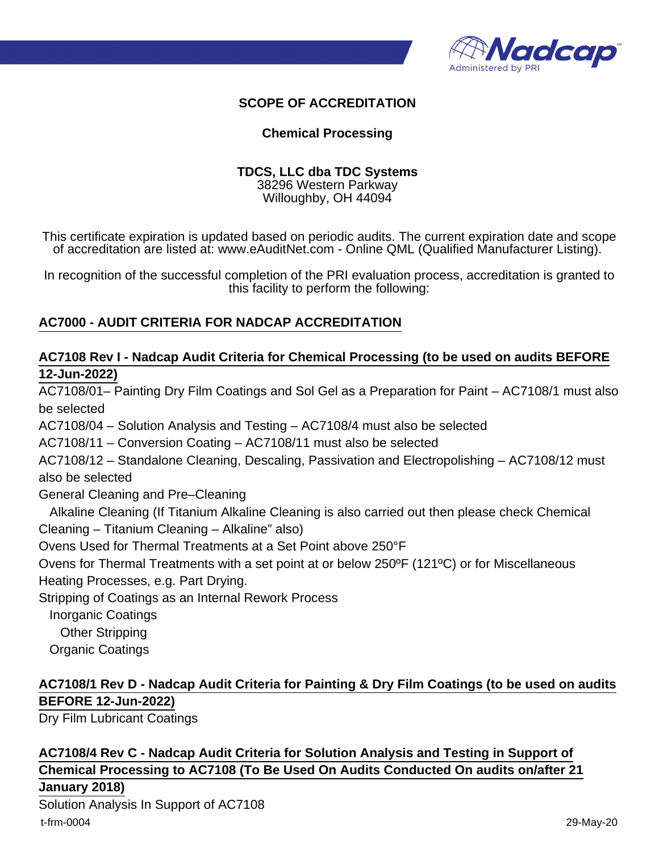

### **SCOPE OF ACCREDITATION**

#### **Chemical Processing**

#### **TDCS, LLC dba TDC Systems** 38296 Western Parkway Willoughby, OH 44094

This certificate expiration is updated based on periodic audits. The current expiration date and scope of accreditation are listed at: www.eAuditNet.com - Online QML (Qualified Manufacturer Listing).

In recognition of the successful completion of the PRI evaluation process, accreditation is granted to this facility to perform the following:

#### **AC7000 - AUDIT CRITERIA FOR NADCAP ACCREDITATION**

### **AC7108 Rev I - Nadcap Audit Criteria for Chemical Processing (to be used on audits BEFORE 12-Jun-2022)**

AC7108/01– Painting Dry Film Coatings and Sol Gel as a Preparation for Paint – AC7108/1 must also be selected AC7108/04 – Solution Analysis and Testing – AC7108/4 must also be selected AC7108/11 – Conversion Coating – AC7108/11 must also be selected

AC7108/12 – Standalone Cleaning, Descaling, Passivation and Electropolishing – AC7108/12 must also be selected

General Cleaning and Pre–Cleaning

 Alkaline Cleaning (If Titanium Alkaline Cleaning is also carried out then please check Chemical Cleaning – Titanium Cleaning – Alkaline" also)

Ovens Used for Thermal Treatments at a Set Point above 250°F

Ovens for Thermal Treatments with a set point at or below 250ºF (121ºC) or for Miscellaneous Heating Processes, e.g. Part Drying.

Stripping of Coatings as an Internal Rework Process

Inorganic Coatings

Other Stripping

Organic Coatings

# **AC7108/1 Rev D - Nadcap Audit Criteria for Painting & Dry Film Coatings (to be used on audits BEFORE 12-Jun-2022)**

Dry Film Lubricant Coatings

**AC7108/4 Rev C - Nadcap Audit Criteria for Solution Analysis and Testing in Support of Chemical Processing to AC7108 (To Be Used On Audits Conducted On audits on/after 21 January 2018)**

Solution Analysis In Support of AC7108 t-frm-0004 29-May-20